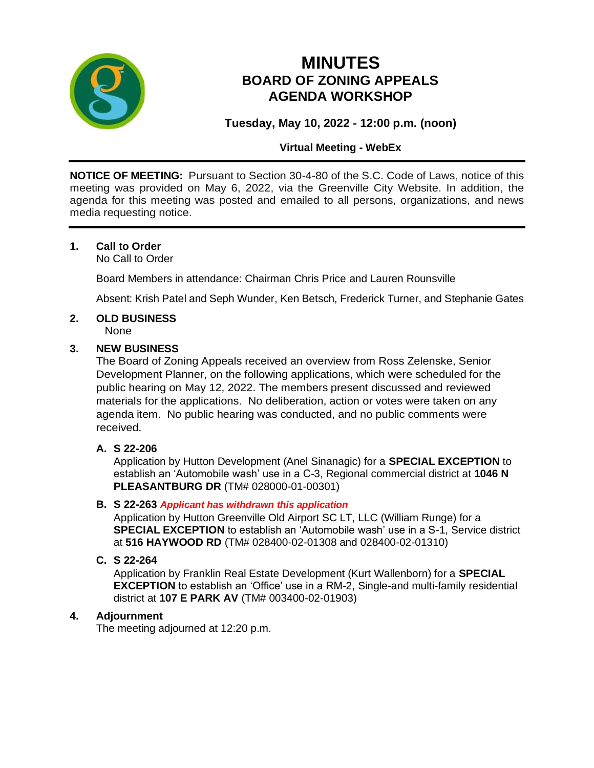

# **MINUTES BOARD OF ZONING APPEALS AGENDA WORKSHOP**

# **Tuesday, May 10, 2022 - 12:00 p.m. (noon)**

# **Virtual Meeting - WebEx**

**NOTICE OF MEETING:** Pursuant to Section 30-4-80 of the S.C. Code of Laws, notice of this meeting was provided on May 6, 2022, via the Greenville City Website. In addition, the agenda for this meeting was posted and emailed to all persons, organizations, and news media requesting notice.

## **1. Call to Order**

No Call to Order

Board Members in attendance: Chairman Chris Price and Lauren Rounsville

Absent: Krish Patel and Seph Wunder, Ken Betsch, Frederick Turner, and Stephanie Gates

# **2. OLD BUSINESS**

None

#### **3. NEW BUSINESS**

The Board of Zoning Appeals received an overview from Ross Zelenske, Senior Development Planner, on the following applications, which were scheduled for the public hearing on May 12, 2022. The members present discussed and reviewed materials for the applications. No deliberation, action or votes were taken on any agenda item. No public hearing was conducted, and no public comments were received.

## **A. S 22-206**

Application by Hutton Development (Anel Sinanagic) for a **SPECIAL EXCEPTION** to establish an 'Automobile wash' use in a C-3, Regional commercial district at **1046 N PLEASANTBURG DR** (TM# 028000-01-00301)

#### **B. S 22-263** *Applicant has withdrawn this application*

Application by Hutton Greenville Old Airport SC LT, LLC (William Runge) for a **SPECIAL EXCEPTION** to establish an 'Automobile wash' use in a S-1, Service district at **516 HAYWOOD RD** (TM# 028400-02-01308 and 028400-02-01310)

#### **C. S 22-264**

Application by Franklin Real Estate Development (Kurt Wallenborn) for a **SPECIAL EXCEPTION** to establish an 'Office' use in a RM-2, Single-and multi-family residential district at **107 E PARK AV** (TM# 003400-02-01903)

## **4. Adjournment**

The meeting adjourned at 12:20 p.m.